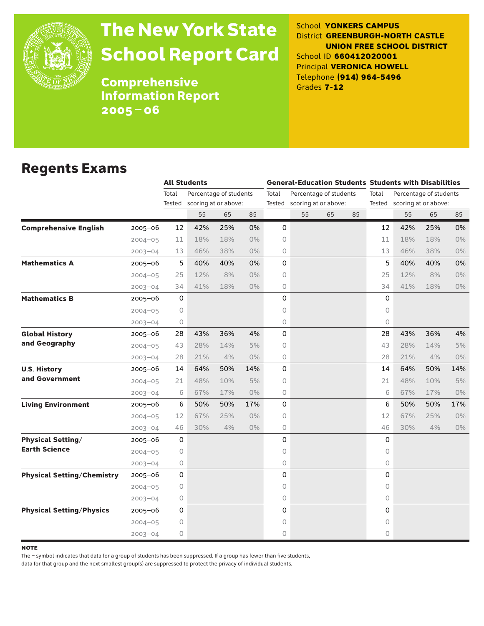

# The New York State School Report Card

School **YONKERS CAMPUS** District **GREENBURGH-NORTH CASTLE UNION FREE SCHOOL DISTRICT** School ID **660412020001** Principal **VERONICA HOWELL** Telephone **(914) 964-5496** Grades **7-12**

**Comprehensive** Information Report 2005–06

### Regents Exams

|                                   |             |       | <b>All Students</b>         |     |       |       | <b>General-Education Students Students with Disabilities</b> |    |    |              |                             |     |       |  |
|-----------------------------------|-------------|-------|-----------------------------|-----|-------|-------|--------------------------------------------------------------|----|----|--------------|-----------------------------|-----|-------|--|
|                                   |             | Total | Percentage of students      |     |       | Total | Percentage of students                                       |    |    | Total        | Percentage of students      |     |       |  |
|                                   |             |       | Tested scoring at or above: |     |       |       | Tested scoring at or above:                                  |    |    |              | Tested scoring at or above: |     |       |  |
|                                   |             |       | 55                          | 65  | 85    |       | 55                                                           | 65 | 85 |              | 55                          | 65  | 85    |  |
| <b>Comprehensive English</b>      | $2005 - 06$ | 12    | 42%                         | 25% | 0%    | 0     |                                                              |    |    | 12           | 42%                         | 25% | 0%    |  |
|                                   | $2004 - 05$ | 11    | 18%                         | 18% | $0\%$ | 0     |                                                              |    |    | 11           | 18%                         | 18% | $0\%$ |  |
|                                   | $2003 - 04$ | 13    | 46%                         | 38% | $0\%$ | 0     |                                                              |    |    | 13           | 46%                         | 38% | 0%    |  |
| <b>Mathematics A</b>              | $2005 - 06$ | 5     | 40%                         | 40% | 0%    | 0     |                                                              |    |    | 5            | 40%                         | 40% | 0%    |  |
|                                   | $2004 - 05$ | 25    | 12%                         | 8%  | $0\%$ | 0     |                                                              |    |    | 25           | 12%                         | 8%  | $0\%$ |  |
|                                   | $2003 - 04$ | 34    | 41%                         | 18% | $0\%$ | 0     |                                                              |    |    | 34           | 41%                         | 18% | 0%    |  |
| <b>Mathematics B</b>              | $2005 - 06$ | 0     |                             |     |       | 0     |                                                              |    |    | 0            |                             |     |       |  |
|                                   | $2004 - 05$ | 0     |                             |     |       | 0     |                                                              |    |    | $\circ$      |                             |     |       |  |
|                                   | $2003 - 04$ | 0     |                             |     |       | 0     |                                                              |    |    | $\circ$      |                             |     |       |  |
| <b>Global History</b>             | $2005 - 06$ | 28    | 43%                         | 36% | 4%    | 0     |                                                              |    |    | 28           | 43%                         | 36% | 4%    |  |
| and Geography                     | $2004 - 05$ | 43    | 28%                         | 14% | 5%    | 0     |                                                              |    |    | 43           | 28%                         | 14% | 5%    |  |
|                                   | $2003 - 04$ | 28    | 21%                         | 4%  | $0\%$ | 0     |                                                              |    |    | 28           | 21%                         | 4%  | 0%    |  |
| <b>U.S. History</b>               | 2005-06     | 14    | 64%                         | 50% | 14%   | 0     |                                                              |    |    | 14           | 64%                         | 50% | 14%   |  |
| and Government                    | $2004 - 05$ | 21    | 48%                         | 10% | 5%    | 0     |                                                              |    |    | 21           | 48%                         | 10% | 5%    |  |
|                                   | $2003 - 04$ | 6     | 67%                         | 17% | $0\%$ | 0     |                                                              |    |    | 6            | 67%                         | 17% | $0\%$ |  |
| <b>Living Environment</b>         | $2005 - 06$ | 6     | 50%                         | 50% | 17%   | 0     |                                                              |    |    | 6            | 50%                         | 50% | 17%   |  |
|                                   | $2004 - 05$ | 12    | 67%                         | 25% | $0\%$ | 0     |                                                              |    |    | 12           | 67%                         | 25% | 0%    |  |
|                                   | $2003 - 04$ | 46    | 30%                         | 4%  | $0\%$ | 0     |                                                              |    |    | 46           | 30%                         | 4%  | 0%    |  |
| <b>Physical Setting/</b>          | $2005 - 06$ | 0     |                             |     |       | 0     |                                                              |    |    | 0            |                             |     |       |  |
| <b>Earth Science</b>              | $2004 - 05$ | 0     |                             |     |       | 0     |                                                              |    |    | $\circ$      |                             |     |       |  |
|                                   | $2003 - 04$ | 0     |                             |     |       | 0     |                                                              |    |    | 0            |                             |     |       |  |
| <b>Physical Setting/Chemistry</b> | 2005-06     | 0     |                             |     |       | 0     |                                                              |    |    | $\mathsf{O}$ |                             |     |       |  |
|                                   | $2004 - 05$ | 0     |                             |     |       | 0     |                                                              |    |    | 0            |                             |     |       |  |
|                                   | $2003 - 04$ | 0     |                             |     |       | 0     |                                                              |    |    | $\bigcirc$   |                             |     |       |  |
| <b>Physical Setting/Physics</b>   | $2005 - 06$ | 0     |                             |     |       | 0     |                                                              |    |    | 0            |                             |     |       |  |
|                                   | $2004 - 05$ | 0     |                             |     |       | 0     |                                                              |    |    | $\circ$      |                             |     |       |  |
|                                   | $2003 - 04$ | 0     |                             |     |       | 0     |                                                              |    |    | $\circ$      |                             |     |       |  |

**NOTE** 

The – symbol indicates that data for a group of students has been suppressed. If a group has fewer than five students,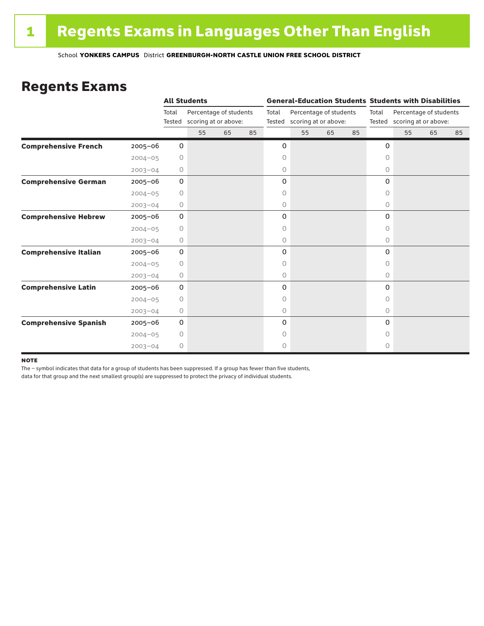### Regents Exams

|                              |             |                 | <b>All Students</b>                            |    |    |                 |                                                |    |    |           | <b>General-Education Students Students with Disabilities</b> |    |    |  |  |
|------------------------------|-------------|-----------------|------------------------------------------------|----|----|-----------------|------------------------------------------------|----|----|-----------|--------------------------------------------------------------|----|----|--|--|
|                              |             | Total<br>Tested | Percentage of students<br>scoring at or above: |    |    | Total<br>Tested | Percentage of students<br>scoring at or above: |    |    | Total     | Percentage of students<br>Tested scoring at or above:        |    |    |  |  |
|                              |             |                 | 55                                             | 65 | 85 |                 | 55                                             | 65 | 85 |           | 55                                                           | 65 | 85 |  |  |
| <b>Comprehensive French</b>  | $2005 - 06$ | 0               |                                                |    |    | 0               |                                                |    |    | 0         |                                                              |    |    |  |  |
|                              | $2004 - 05$ | 0               |                                                |    |    | 0               |                                                |    |    | $\circ$   |                                                              |    |    |  |  |
|                              | $2003 - 04$ | 0               |                                                |    |    | 0               |                                                |    |    | 0         |                                                              |    |    |  |  |
| <b>Comprehensive German</b>  | $2005 - 06$ | 0               |                                                |    |    | 0               |                                                |    |    | 0         |                                                              |    |    |  |  |
|                              | $2004 - 05$ | $\circ$         |                                                |    |    | 0               |                                                |    |    | 0         |                                                              |    |    |  |  |
|                              | $2003 - 04$ | 0               |                                                |    |    | 0               |                                                |    |    | 0         |                                                              |    |    |  |  |
| <b>Comprehensive Hebrew</b>  | $2005 - 06$ | 0               |                                                |    |    | 0               |                                                |    |    | 0         |                                                              |    |    |  |  |
|                              | $2004 - 05$ | 0               |                                                |    |    | 0               |                                                |    |    | 0         |                                                              |    |    |  |  |
|                              | $2003 - 04$ | 0               |                                                |    |    | 0               |                                                |    |    | $\circ$   |                                                              |    |    |  |  |
| <b>Comprehensive Italian</b> | 2005-06     | 0               |                                                |    |    | 0               |                                                |    |    | 0         |                                                              |    |    |  |  |
|                              | $2004 - 05$ | 0               |                                                |    |    | 0               |                                                |    |    | 0         |                                                              |    |    |  |  |
|                              | $2003 - 04$ | 0               |                                                |    |    | 0               |                                                |    |    | 0         |                                                              |    |    |  |  |
| <b>Comprehensive Latin</b>   | $2005 - 06$ | 0               |                                                |    |    | 0               |                                                |    |    | 0         |                                                              |    |    |  |  |
|                              | $2004 - 05$ | $\circ$         |                                                |    |    | 0               |                                                |    |    | $\bigcap$ |                                                              |    |    |  |  |
|                              | $2003 - 04$ | 0               |                                                |    |    | 0               |                                                |    |    | $\circ$   |                                                              |    |    |  |  |
| <b>Comprehensive Spanish</b> | $2005 - 06$ | 0               |                                                |    |    | 0               |                                                |    |    | $\Omega$  |                                                              |    |    |  |  |
|                              | $2004 - 05$ | 0               |                                                |    |    | 0               |                                                |    |    | Ω         |                                                              |    |    |  |  |
|                              | $2003 - 04$ | $\circ$         |                                                |    |    | 0               |                                                |    |    | 0         |                                                              |    |    |  |  |

#### **NOTE**

The – symbol indicates that data for a group of students has been suppressed. If a group has fewer than five students,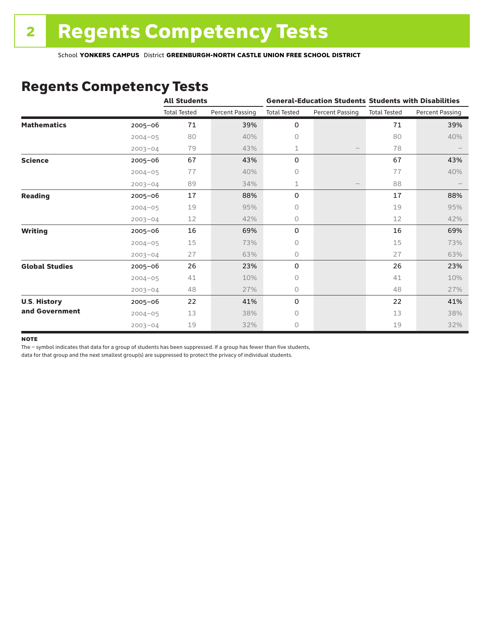### Regents Competency Tests

|                       |             | <b>All Students</b> |                        |                     |                        | <b>General-Education Students Students with Disabilities</b> |                        |  |
|-----------------------|-------------|---------------------|------------------------|---------------------|------------------------|--------------------------------------------------------------|------------------------|--|
|                       |             | <b>Total Tested</b> | <b>Percent Passing</b> | <b>Total Tested</b> | <b>Percent Passing</b> | <b>Total Tested</b>                                          | <b>Percent Passing</b> |  |
| <b>Mathematics</b>    | $2005 - 06$ | 71                  | 39%                    | 0                   |                        | 71                                                           | 39%                    |  |
|                       | $2004 - 05$ | 80                  | 40%                    | 0                   |                        | 80                                                           | 40%                    |  |
|                       | $2003 - 04$ | 79                  | 43%                    | 1                   |                        | 78                                                           |                        |  |
| <b>Science</b>        | 2005-06     | 67                  | 43%                    | 0                   |                        | 67                                                           | 43%                    |  |
|                       | $2004 - 05$ | 77                  | 40%                    | 0                   |                        | 77                                                           | 40%                    |  |
|                       | $2003 - 04$ | 89                  | 34%                    | $\mathbf 1$         | $\qquad \qquad -$      | 88                                                           |                        |  |
| <b>Reading</b>        | $2005 - 06$ | 17                  | 88%                    | 0                   |                        | 17                                                           | 88%                    |  |
|                       | $2004 - 05$ | 19                  | 95%                    | 0                   |                        | 19                                                           | 95%                    |  |
|                       | $2003 - 04$ | 12                  | 42%                    | 0                   |                        | 12                                                           | 42%                    |  |
| <b>Writing</b>        | $2005 - 06$ | 16                  | 69%                    | 0                   |                        | 16                                                           | 69%                    |  |
|                       | $2004 - 05$ | 15                  | 73%                    | 0                   |                        | 15                                                           | 73%                    |  |
|                       | $2003 - 04$ | 27                  | 63%                    | 0                   |                        | 27                                                           | 63%                    |  |
| <b>Global Studies</b> | $2005 - 06$ | 26                  | 23%                    | 0                   |                        | 26                                                           | 23%                    |  |
|                       | $2004 - 05$ | 41                  | 10%                    | 0                   |                        | 41                                                           | 10%                    |  |
|                       | $2003 - 04$ | 48                  | 27%                    | 0                   |                        | 48                                                           | 27%                    |  |
| <b>U.S. History</b>   | 2005-06     | 22                  | 41%                    | 0                   |                        | 22                                                           | 41%                    |  |
| and Government        | $2004 - 05$ | 13                  | 38%                    | $\Omega$            |                        | 13                                                           | 38%                    |  |
|                       | $2003 - 04$ | 19                  | 32%                    | 0                   |                        | 19                                                           | 32%                    |  |

#### **NOTE**

The – symbol indicates that data for a group of students has been suppressed. If a group has fewer than five students,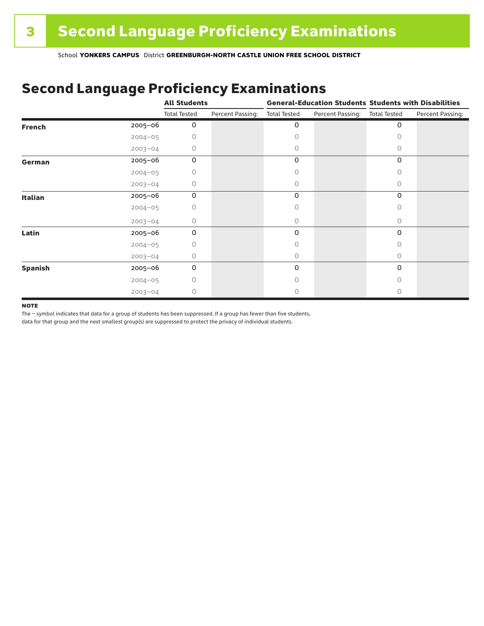## Second Language Proficiency Examinations

|                |             | <b>All Students</b> |                  |                     |                  | <b>General-Education Students Students with Disabilities</b> |                  |  |
|----------------|-------------|---------------------|------------------|---------------------|------------------|--------------------------------------------------------------|------------------|--|
|                |             | <b>Total Tested</b> | Percent Passing: | <b>Total Tested</b> | Percent Passing: | <b>Total Tested</b>                                          | Percent Passing: |  |
| <b>French</b>  | 2005-06     | 0                   |                  | 0                   |                  | 0                                                            |                  |  |
|                | $2004 - 05$ |                     |                  | Ω                   |                  | Ω                                                            |                  |  |
|                | $2003 - 04$ |                     |                  | 0                   |                  | 0                                                            |                  |  |
| German         | 2005-06     | 0                   |                  | 0                   |                  | 0                                                            |                  |  |
|                | $2004 - 05$ |                     |                  | Ω                   |                  | 0                                                            |                  |  |
|                | $2003 - 04$ | 0                   |                  | 0                   |                  | $\Omega$                                                     |                  |  |
| <b>Italian</b> | 2005-06     | 0                   |                  | 0                   |                  | 0                                                            |                  |  |
|                | $2004 - 05$ |                     |                  |                     |                  | O                                                            |                  |  |
|                | $2003 - 04$ | 0                   |                  | 0                   |                  | $\Omega$                                                     |                  |  |
| Latin          | 2005-06     | 0                   |                  | 0                   |                  | $\Omega$                                                     |                  |  |
|                | $2004 - 05$ |                     |                  |                     |                  | Ω                                                            |                  |  |
|                | $2003 - 04$ | n                   |                  | 0                   |                  | 0                                                            |                  |  |
| <b>Spanish</b> | 2005-06     | 0                   |                  | 0                   |                  | 0                                                            |                  |  |
|                | $2004 - 05$ | Ω                   |                  |                     |                  | $\bigcap$                                                    |                  |  |
|                | $2003 - 04$ | 0                   |                  |                     |                  |                                                              |                  |  |

#### **NOTE**

The – symbol indicates that data for a group of students has been suppressed. If a group has fewer than five students,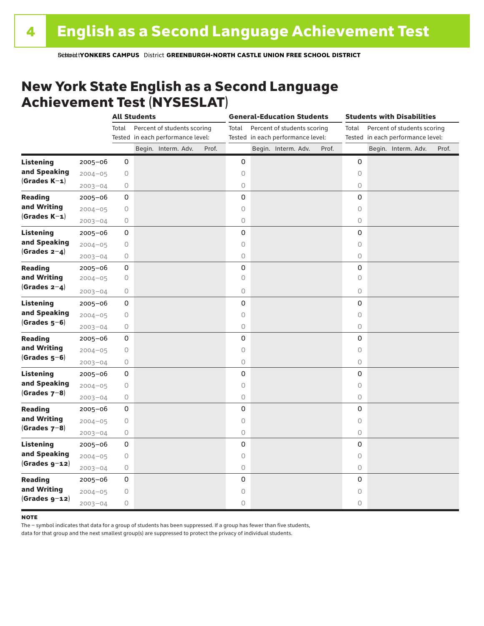### New York State English as a Second Language Achievement Test (NYSESLAT)

|                  |             |            | <b>All Students</b> |                                                                  |       | <b>General-Education Students</b> |  |                                                                  |       | <b>Students with Disabilities</b> |  |                                                                  |       |
|------------------|-------------|------------|---------------------|------------------------------------------------------------------|-------|-----------------------------------|--|------------------------------------------------------------------|-------|-----------------------------------|--|------------------------------------------------------------------|-------|
|                  |             | Total      |                     | Percent of students scoring<br>Tested in each performance level: |       | Total                             |  | Percent of students scoring<br>Tested in each performance level: |       | Total                             |  | Percent of students scoring<br>Tested in each performance level: |       |
|                  |             |            |                     | Begin. Interm. Adv.                                              | Prof. |                                   |  | Begin. Interm. Adv.                                              | Prof. |                                   |  | Begin. Interm. Adv.                                              | Prof. |
| <b>Listening</b> | 2005-06     | 0          |                     |                                                                  |       | 0                                 |  |                                                                  |       | 0                                 |  |                                                                  |       |
| and Speaking     | $2004 - 05$ | $\bigcirc$ |                     |                                                                  |       | 0                                 |  |                                                                  |       | $\circ$                           |  |                                                                  |       |
| $(Grades K-1)$   | $2003 - 04$ | 0          |                     |                                                                  |       | $\bigcirc$                        |  |                                                                  |       | 0                                 |  |                                                                  |       |
| <b>Reading</b>   | $2005 - 06$ | 0          |                     |                                                                  |       | $\mathbf 0$                       |  |                                                                  |       | $\mathbf 0$                       |  |                                                                  |       |
| and Writing      | $2004 - 05$ | $\bigcirc$ |                     |                                                                  |       | $\circ$                           |  |                                                                  |       | $\circ$                           |  |                                                                  |       |
| $(Grades K-1)$   | $2003 - 04$ | 0          |                     |                                                                  |       | $\circ$                           |  |                                                                  |       | $\circlearrowright$               |  |                                                                  |       |
| <b>Listening</b> | 2005-06     | 0          |                     |                                                                  |       | $\mathsf 0$                       |  |                                                                  |       | 0                                 |  |                                                                  |       |
| and Speaking     | $2004 - 05$ | $\bigcirc$ |                     |                                                                  |       | $\circ$                           |  |                                                                  |       | $\circ$                           |  |                                                                  |       |
| $(Grades 2-4)$   | $2003 - 04$ | $\circ$    |                     |                                                                  |       | $\circlearrowright$               |  |                                                                  |       | $\circ$                           |  |                                                                  |       |
| <b>Reading</b>   | 2005-06     | 0          |                     |                                                                  |       | $\mathsf{O}\xspace$               |  |                                                                  |       | 0                                 |  |                                                                  |       |
| and Writing      | $2004 - 05$ | 0          |                     |                                                                  |       | 0                                 |  |                                                                  |       | $\circ$                           |  |                                                                  |       |
| (Grades $2-4$ )  | $2003 - 04$ | 0          |                     |                                                                  |       | $\bigcirc$                        |  |                                                                  |       | 0                                 |  |                                                                  |       |
| <b>Listening</b> | $2005 - 06$ | 0          |                     |                                                                  |       | 0                                 |  |                                                                  |       | 0                                 |  |                                                                  |       |
| and Speaking     | $2004 - 05$ | $\bigcirc$ |                     |                                                                  |       | $\circ$                           |  |                                                                  |       | $\circ$                           |  |                                                                  |       |
| $(Grades 5-6)$   | $2003 - 04$ | $\bigcirc$ |                     |                                                                  |       | $\circ$                           |  |                                                                  |       | 0                                 |  |                                                                  |       |
| <b>Reading</b>   | $2005 - 06$ | 0          |                     |                                                                  |       | $\mathbf 0$                       |  |                                                                  |       | $\mathbf 0$                       |  |                                                                  |       |
| and Writing      | $2004 - 05$ | 0          |                     |                                                                  |       | $\circ$                           |  |                                                                  |       | $\circ$                           |  |                                                                  |       |
| $(Grades 5-6)$   | $2003 - 04$ | 0          |                     |                                                                  |       | $\circlearrowright$               |  |                                                                  |       | 0                                 |  |                                                                  |       |
| <b>Listening</b> | 2005-06     | 0          |                     |                                                                  |       | $\mathsf{O}\xspace$               |  |                                                                  |       | $\mathsf{O}\xspace$               |  |                                                                  |       |
| and Speaking     | $2004 - 05$ | $\bigcirc$ |                     |                                                                  |       | $\circ$                           |  |                                                                  |       | $\circ$                           |  |                                                                  |       |
| $(Grades 7-8)$   | $2003 - 04$ | $\bigcirc$ |                     |                                                                  |       | $\circ$                           |  |                                                                  |       | $\circ$                           |  |                                                                  |       |
| <b>Reading</b>   | 2005-06     | 0          |                     |                                                                  |       | 0                                 |  |                                                                  |       | $\mathbf 0$                       |  |                                                                  |       |
| and Writing      | $2004 - 05$ | $\bigcirc$ |                     |                                                                  |       | $\circ$                           |  |                                                                  |       | $\circ$                           |  |                                                                  |       |
| $(Grades 7-8)$   | $2003 - 04$ | 0          |                     |                                                                  |       | $\bigcirc$                        |  |                                                                  |       | 0                                 |  |                                                                  |       |
| <b>Listening</b> | $2005 - 06$ | 0          |                     |                                                                  |       | 0                                 |  |                                                                  |       | 0                                 |  |                                                                  |       |
| and Speaking     | $2004 - 05$ | $\bigcirc$ |                     |                                                                  |       | $\circ$                           |  |                                                                  |       | $\circ$                           |  |                                                                  |       |
| $(Grades g-12)$  | $2003 - 04$ | $\bigcirc$ |                     |                                                                  |       | $\circlearrowright$               |  |                                                                  |       | $\circ$                           |  |                                                                  |       |
| <b>Reading</b>   | $2005 - 06$ | 0          |                     |                                                                  |       | 0                                 |  |                                                                  |       | 0                                 |  |                                                                  |       |
| and Writing      | $2004 - 05$ | 0          |                     |                                                                  |       | 0                                 |  |                                                                  |       | 0                                 |  |                                                                  |       |
| $(Grades g-12)$  | $2003 - 04$ | 0          |                     |                                                                  |       | $\circ$                           |  |                                                                  |       | 0                                 |  |                                                                  |       |

#### **NOTE**

The – symbol indicates that data for a group of students has been suppressed. If a group has fewer than five students,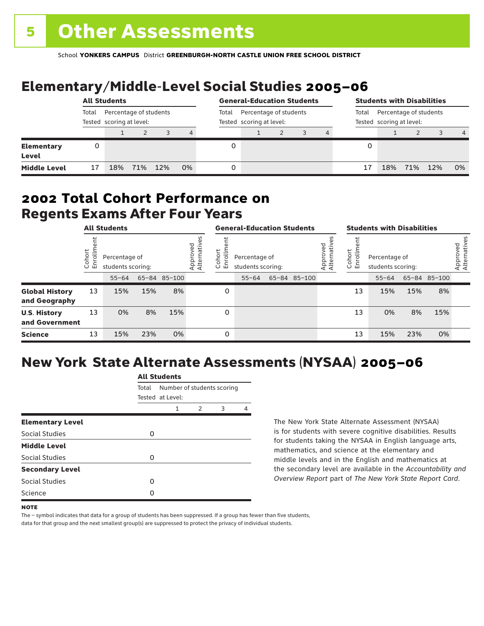# Elementary/Middle-Level Social Studies 2005–06

|                                   | <b>All Students</b> |                                                    |     |     |    |       | <b>General-Education Students</b>                  |  |  |                                                             |   | <b>Students with Disabilities</b> |     |     |                |  |  |
|-----------------------------------|---------------------|----------------------------------------------------|-----|-----|----|-------|----------------------------------------------------|--|--|-------------------------------------------------------------|---|-----------------------------------|-----|-----|----------------|--|--|
|                                   | Total               | Percentage of students<br>Tested scoring at level: |     |     |    | Total | Percentage of students<br>Tested scoring at level: |  |  | Percentage of students<br>Total<br>Tested scoring at level: |   |                                   |     |     |                |  |  |
|                                   |                     |                                                    |     | 3   | 4  |       |                                                    |  |  |                                                             |   |                                   |     |     | $\overline{4}$ |  |  |
| <b>Elementary</b><br><b>Level</b> |                     |                                                    |     |     |    | 0     |                                                    |  |  |                                                             | 0 |                                   |     |     |                |  |  |
| <b>Middle Level</b>               | 17                  | 18%                                                | 71% | 12% | 0% | 0     |                                                    |  |  |                                                             |   | 18%                               | 71% | 12% | 0%             |  |  |

### Regents Exams After Four Years 2002 **Total Cohort Performance on**

|                                        |                           | <b>All Students</b>                             |     |              |                         | <b>General-Education Students</b> |                                                 |  |              |                         | <b>Students with Disabilities</b> |                                                 |     |              |                          |
|----------------------------------------|---------------------------|-------------------------------------------------|-----|--------------|-------------------------|-----------------------------------|-------------------------------------------------|--|--------------|-------------------------|-----------------------------------|-------------------------------------------------|-----|--------------|--------------------------|
|                                        | ohort<br>5<br>$\cup$<br>ш | Percentage of<br>students scoring:<br>$55 - 64$ |     | 65-84 85-100 | Approved<br>Alternative | hort<br>ilo<br>S<br>문             | Percentage of<br>students scoring:<br>$55 - 64$ |  | 65-84 85-100 | Approved<br>Alternative | Cohort<br>rollm<br>훕              | Percentage of<br>students scoring:<br>$55 - 64$ |     | 65-84 85-100 | Approved<br>Alternatives |
| <b>Global History</b><br>and Geography | 13                        | 15%                                             | 15% | 8%           |                         | 0                                 |                                                 |  |              |                         | 13                                | 15%                                             | 15% | 8%           |                          |
| <b>U.S. History</b><br>and Government  | 13                        | 0%                                              | 8%  | 15%          |                         | 0                                 |                                                 |  |              |                         | 13                                | 0%                                              | 8%  | 15%          |                          |
| <b>Science</b>                         | 13                        | 15%                                             | 23% | 0%           |                         | 0                                 |                                                 |  |              |                         | 13                                | 15%                                             | 23% | 0%           |                          |

## New York State Alternate Assessments (NYSAA) 2005–06

|                         | All Students |                  |                            |   |  |  |  |  |  |  |
|-------------------------|--------------|------------------|----------------------------|---|--|--|--|--|--|--|
|                         | Total        | Tested at Level: | Number of students scoring |   |  |  |  |  |  |  |
|                         |              | 1                | 2                          | 3 |  |  |  |  |  |  |
| <b>Elementary Level</b> |              |                  |                            |   |  |  |  |  |  |  |
| Social Studies          | 0            |                  |                            |   |  |  |  |  |  |  |
| <b>Middle Level</b>     |              |                  |                            |   |  |  |  |  |  |  |
| <b>Social Studies</b>   | Ω            |                  |                            |   |  |  |  |  |  |  |
| <b>Secondary Level</b>  |              |                  |                            |   |  |  |  |  |  |  |
| Social Studies          | ი            |                  |                            |   |  |  |  |  |  |  |
| Science                 | Ω            |                  |                            |   |  |  |  |  |  |  |
|                         |              |                  |                            |   |  |  |  |  |  |  |

All Canada

The New York State Alternate Assessment (NYSAA) is for students with severe cognitive disabilities. Results for students taking the NYSAA in English language arts, mathematics, and science at the elementary and middle levels and in the English and mathematics at the secondary level are available in the *Accountability and Overview Report* part of *The New York State Report Card*.

The – symbol indicates that data for a group of students has been suppressed. If a group has fewer than five students,

**NOTE**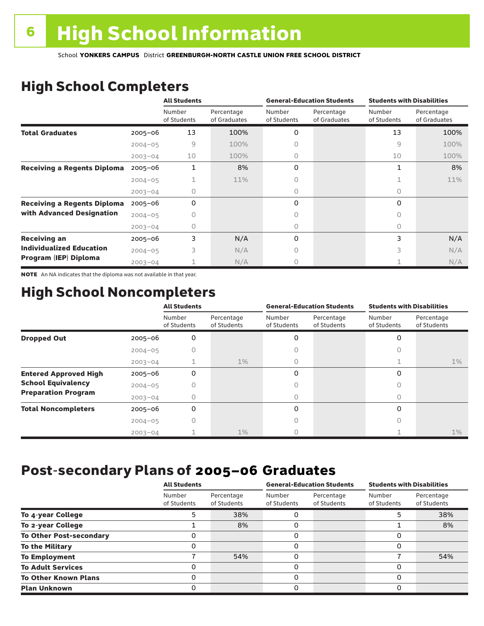# High School Completers

|                                    |             | <b>All Students</b>   |                            |                       | <b>General-Education Students</b> | <b>Students with Disabilities</b> |                            |  |
|------------------------------------|-------------|-----------------------|----------------------------|-----------------------|-----------------------------------|-----------------------------------|----------------------------|--|
|                                    |             | Number<br>of Students | Percentage<br>of Graduates | Number<br>of Students | Percentage<br>of Graduates        | Number<br>of Students             | Percentage<br>of Graduates |  |
| <b>Total Graduates</b>             | $2005 - 06$ | 13                    | 100%                       | 0                     |                                   | 13                                | 100%                       |  |
|                                    | $2004 - 05$ | 9                     | 100%                       |                       |                                   | 9                                 | 100%                       |  |
|                                    | $2003 - 04$ | 10                    | 100%                       | 0                     |                                   | 10                                | 100%                       |  |
| <b>Receiving a Regents Diploma</b> | $2005 - 06$ | 1                     | 8%                         | 0                     |                                   | 1                                 | 8%                         |  |
|                                    | $2004 - 05$ |                       | 11%                        | Ω                     |                                   |                                   | 11%                        |  |
|                                    | $2003 - 04$ | 0                     |                            | 0                     |                                   | 0                                 |                            |  |
| <b>Receiving a Regents Diploma</b> | $2005 - 06$ | 0                     |                            | 0                     |                                   | 0                                 |                            |  |
| with Advanced Designation          | $2004 - 05$ |                       |                            |                       |                                   | 0                                 |                            |  |
|                                    | $2003 - 04$ | 0                     |                            | 0                     |                                   | 0                                 |                            |  |
| <b>Receiving an</b>                | $2005 - 06$ | 3                     | N/A                        | 0                     |                                   | 3                                 | N/A                        |  |
| <b>Individualized Education</b>    | $2004 - 05$ | 3                     | N/A                        | 0                     |                                   | 3                                 | N/A                        |  |
| Program (IEP) Diploma              | $2003 - 04$ |                       | N/A                        | Ω                     |                                   |                                   | N/A                        |  |

NOTE An NA indicates that the diploma was not available in that year.

### High School Noncompleters

|                              |             | <b>All Students</b>   |                           |                       | <b>General-Education Students</b> | <b>Students with Disabilities</b> |                           |  |
|------------------------------|-------------|-----------------------|---------------------------|-----------------------|-----------------------------------|-----------------------------------|---------------------------|--|
|                              |             | Number<br>of Students | Percentage<br>of Students | Number<br>of Students | Percentage<br>of Students         | Number<br>of Students             | Percentage<br>of Students |  |
| <b>Dropped Out</b>           | $2005 - 06$ | 0                     |                           | 0                     |                                   | 0                                 |                           |  |
|                              | $2004 - 05$ |                       |                           |                       |                                   |                                   |                           |  |
|                              | $2003 - 04$ |                       | $1\%$                     | 0                     |                                   |                                   | $1\%$                     |  |
| <b>Entered Approved High</b> | $2005 - 06$ | 0                     |                           | 0                     |                                   | $\Omega$                          |                           |  |
| <b>School Equivalency</b>    | $2004 - 05$ | Ω                     |                           | Ω                     |                                   | Ω                                 |                           |  |
| <b>Preparation Program</b>   | $2003 - 04$ | Ω                     |                           | 0                     |                                   | 0                                 |                           |  |
| <b>Total Noncompleters</b>   | $2005 - 06$ | 0                     |                           | 0                     |                                   | $\Omega$                          |                           |  |
|                              | $2004 - 05$ | 0                     |                           | 0                     |                                   | 0                                 |                           |  |
|                              | $2003 - 04$ |                       | $1\%$                     |                       |                                   |                                   | $1\%$                     |  |

### Post-secondary Plans of 2005–06 **Graduates**

|                                | <b>All Students</b>   |                           |                       | <b>General-Education Students</b> | <b>Students with Disabilities</b> |                           |  |
|--------------------------------|-----------------------|---------------------------|-----------------------|-----------------------------------|-----------------------------------|---------------------------|--|
|                                | Number<br>of Students | Percentage<br>of Students | Number<br>of Students | Percentage<br>of Students         | Number<br>of Students             | Percentage<br>of Students |  |
| To 4-year College              |                       | 38%                       | 0                     |                                   |                                   | 38%                       |  |
| To 2-year College              |                       | 8%                        | 0                     |                                   |                                   | 8%                        |  |
| <b>To Other Post-secondary</b> | O                     |                           | 0                     |                                   | 0                                 |                           |  |
| <b>To the Military</b>         | 0                     |                           | 0                     |                                   | 0                                 |                           |  |
| <b>To Employment</b>           |                       | 54%                       | 0                     |                                   |                                   | 54%                       |  |
| <b>To Adult Services</b>       |                       |                           | 0                     |                                   | 0                                 |                           |  |
| <b>To Other Known Plans</b>    | O                     |                           | 0                     |                                   | 0                                 |                           |  |
| <b>Plan Unknown</b>            | 0                     |                           | 0                     |                                   | 0                                 |                           |  |